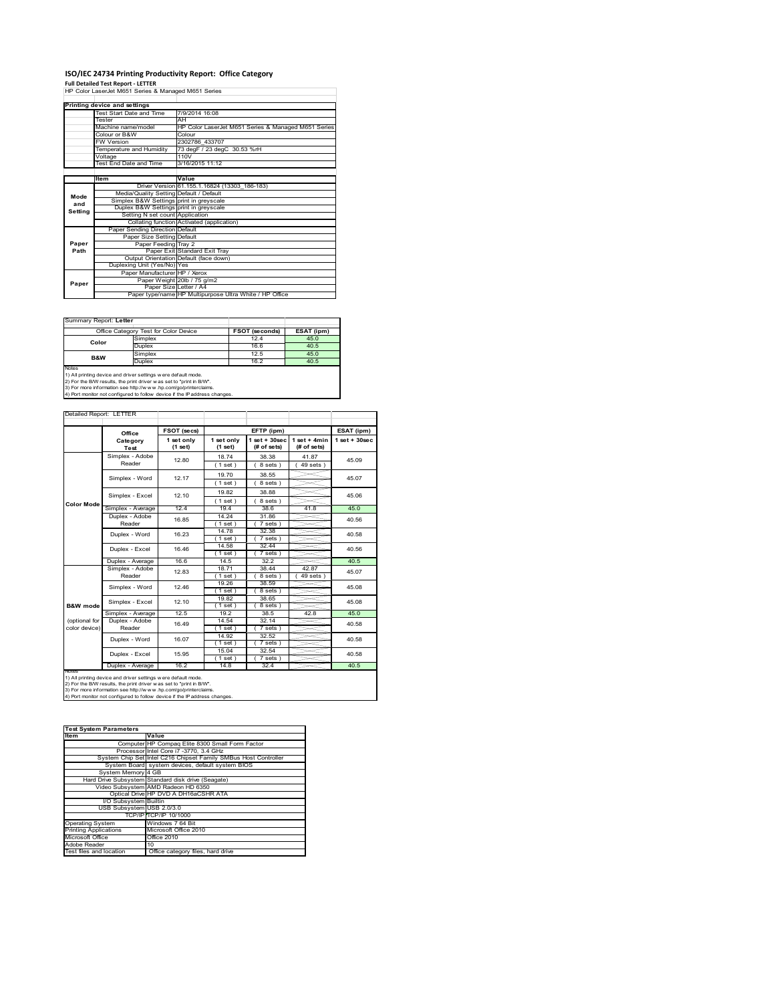## **ISO/IEC 24734 Printing Productivity Report: Office Category Full Detailed Test Report ‐ LETTER** HP Color LaserJet M651 Series & Managed M651 Series

|         | Printing device and settings            |                                                         |  |  |  |
|---------|-----------------------------------------|---------------------------------------------------------|--|--|--|
|         | Test Start Date and Time                | 7/9/2014 16:08                                          |  |  |  |
|         | Tester                                  | AH                                                      |  |  |  |
|         | Machine name/model                      | HP Color LaserJet M651 Series & Managed M651 Series     |  |  |  |
|         | Colour or B&W                           | Colour                                                  |  |  |  |
|         | <b>FW Version</b>                       | 2302786 433707                                          |  |  |  |
|         | Temperature and Humidity                | 73 degF / 23 degC 30.53 %rH                             |  |  |  |
|         | Voltage                                 | 110V                                                    |  |  |  |
|         | Test End Date and Time                  | 3/16/2015 11:12                                         |  |  |  |
|         |                                         |                                                         |  |  |  |
|         | Item                                    | Value                                                   |  |  |  |
|         |                                         | Driver Version 61.155.1.16824 (13303 186-183)           |  |  |  |
| Mode    | Media/Quality Setting Default / Default |                                                         |  |  |  |
| and     | Simplex B&W Settings print in greyscale |                                                         |  |  |  |
| Setting | Duplex B&W Settings print in greyscale  |                                                         |  |  |  |
|         | Setting N set count Application         |                                                         |  |  |  |
|         |                                         | Collating function Activated (application)              |  |  |  |
|         | Paper Sending Direction Default         |                                                         |  |  |  |
|         | Paper Size Setting Default              |                                                         |  |  |  |
| Paper   | Paper Feeding Tray 2                    |                                                         |  |  |  |
| Path    |                                         | Paper Exit Standard Exit Tray                           |  |  |  |
|         |                                         | Output Orientation Default (face down)                  |  |  |  |
|         | Duplexing Unit (Yes/No) Yes             |                                                         |  |  |  |
| Paper   | Paper Manufacturer HP / Xerox           |                                                         |  |  |  |
|         |                                         | Paper Weight 20lb / 75 g/m2                             |  |  |  |
|         | Paper Size Letter / A4                  |                                                         |  |  |  |
|         |                                         | Paper type/name HP Multipurpose Ultra White / HP Office |  |  |  |

## Summary Report: **Letter**

|                | Office Category Test for Color Device | FSOT (seconds) | ESAT (ipm) |
|----------------|---------------------------------------|----------------|------------|
| Color          | Simplex                               | 12.4           | 45.0       |
|                | Duplex                                | 16.6           | 40.5       |
| <b>B&amp;W</b> | Simplex                               | 12.5           | 45.0       |
|                | Duplex                                | 16.2           | 40.5       |
| Notes          |                                       |                |            |

Notes<br>1) All printing device and driver settings were default mode.<br>2) For the B/W results, the print driver was set to "print in B/W".<br>3) For more information see http://www.vhp.com/go/printerclaims.<br>4) Por more informati

|                     |                                                                                                                                                                                                                                                                                        | FSOT (secs)           |                         | EFTP (ipm)                        |                               | ESAT (ipm)        |
|---------------------|----------------------------------------------------------------------------------------------------------------------------------------------------------------------------------------------------------------------------------------------------------------------------------------|-----------------------|-------------------------|-----------------------------------|-------------------------------|-------------------|
|                     | Office<br>Category<br>Test                                                                                                                                                                                                                                                             | 1 set only<br>(1 set) | 1 set only<br>$(1$ set) | $1$ set + $30$ sec<br>(# of sets) | $1$ set + 4min<br>(# of sets) | $1$ set $+30$ sec |
|                     | Simplex - Adobe                                                                                                                                                                                                                                                                        | 12.80                 | 18.74                   | 38.38                             | 41.87                         | 45.09             |
|                     | Reader                                                                                                                                                                                                                                                                                 |                       | (1 set)                 | 8 sets)                           | $49$ sets $)$                 |                   |
|                     | Simplex - Word                                                                                                                                                                                                                                                                         | 12.17                 | 19.70                   | 38.55                             |                               | 45.07             |
|                     |                                                                                                                                                                                                                                                                                        |                       | (1 set)                 | 8 sets)                           |                               |                   |
|                     | Simplex - Excel                                                                                                                                                                                                                                                                        | 12.10                 | 19.82                   | 38.88                             |                               | 45.06             |
| Color Mode          |                                                                                                                                                                                                                                                                                        |                       | (1 set)                 | 8 sets)                           |                               |                   |
|                     | Simplex - Average                                                                                                                                                                                                                                                                      | 12.4                  | 19.4                    | 38.6                              | 41.8                          | 45.0              |
|                     | Duplex - Adobe                                                                                                                                                                                                                                                                         | 16.85                 | 14.24                   | 31.86                             |                               | 40.56             |
|                     | Reader                                                                                                                                                                                                                                                                                 |                       | (1 set)                 | 7 sets)                           |                               |                   |
|                     | Duplex - Word                                                                                                                                                                                                                                                                          | 16.23                 | 14.78                   | 32.38                             |                               | 40.58             |
|                     |                                                                                                                                                                                                                                                                                        |                       | (1 set )                | 7 sets)                           |                               |                   |
|                     | Duplex - Excel                                                                                                                                                                                                                                                                         | 16.46                 | 14.58                   | 32.44                             |                               | 40.56             |
|                     |                                                                                                                                                                                                                                                                                        | 16.6                  | $1$ set                 | 7 sets                            |                               |                   |
|                     | Duplex - Average                                                                                                                                                                                                                                                                       |                       | 14.5                    | 32.2                              | 42.87                         | 40.5              |
|                     | Simplex - Adobe<br>Reader                                                                                                                                                                                                                                                              | 12.83                 | 18.71<br>(1 set)        | 38.44<br>8 sets)                  | $49$ sets $)$                 | 45.07             |
|                     | Simplex - Word                                                                                                                                                                                                                                                                         | 12.46                 | 19.26                   | 38.59                             |                               | 45.08             |
|                     |                                                                                                                                                                                                                                                                                        |                       | 1 set                   | 8 sets)                           |                               |                   |
|                     | Simplex - Excel                                                                                                                                                                                                                                                                        | 12.10                 | 19.82                   | 38.65                             |                               | 45.08             |
| <b>B&amp;W</b> mode |                                                                                                                                                                                                                                                                                        |                       | (1 set)                 | 8 sets)                           |                               |                   |
|                     | Simplex - Average                                                                                                                                                                                                                                                                      | 12.5                  | 19.2                    | 38.5                              | 42.8                          | 45.0              |
| (optional for       | Duplex - Adobe                                                                                                                                                                                                                                                                         | 16.49                 | 14.54                   | 32.14                             |                               | 40.58             |
| color device)       | Reader                                                                                                                                                                                                                                                                                 |                       | $1$ set $)$             | 7 sets)                           |                               |                   |
|                     | Duplex - Word                                                                                                                                                                                                                                                                          | 16.07                 | 14.92                   | 32.52                             |                               | 40.58             |
|                     |                                                                                                                                                                                                                                                                                        |                       | (1 set)                 | $7 sets$ )                        |                               |                   |
|                     | Duplex - Excel                                                                                                                                                                                                                                                                         | 15.95                 | 15.04                   | 32.54                             |                               | 40.58             |
|                     |                                                                                                                                                                                                                                                                                        |                       | $1$ set)                | $7 sets$ )                        |                               |                   |
| <b>NOtes</b>        | Duplex - Average                                                                                                                                                                                                                                                                       | 16.2                  | 14.8                    | 32.4                              |                               | 40.5              |
|                     | 1) All printing device and driver settings w ere default mode.<br>2) For the B/W results, the print driver was set to "print in B/W".<br>3) For more information see http://www.hp.com/go/printerclaims.<br>4) Port monitor not configured to follow device if the IP address changes. |                       |                         |                                   |                               |                   |

| <b>Test System Parameters</b> |                                                                 |  |  |  |
|-------------------------------|-----------------------------------------------------------------|--|--|--|
| <b>Item</b>                   | Value                                                           |  |  |  |
|                               | Computer HP Compaq Elite 8300 Small Form Factor                 |  |  |  |
|                               | Processor Intel Core i7 -3770, 3.4 GHz                          |  |  |  |
|                               | System Chip Set Intel C216 Chipset Family SMBus Host Controller |  |  |  |
|                               | System Board system devices, default system BIOS                |  |  |  |
| System Memory 4 GB            |                                                                 |  |  |  |
|                               | Hard Drive Subsystem Standard disk drive (Seagate)              |  |  |  |
|                               | Video Subsystem AMD Radeon HD 6350                              |  |  |  |
|                               | Optical Drive HP DVD A DH16aCSHR ATA                            |  |  |  |
| I/O Subsystem Builtin         |                                                                 |  |  |  |
| USB Subsystem USB 2.0/3.0     |                                                                 |  |  |  |
|                               | TCP/IP TCP/IP 10/1000                                           |  |  |  |
| <b>Operating System</b>       | Windows 7 64 Bit                                                |  |  |  |
| <b>Printing Applications</b>  | Microsoft Office 2010                                           |  |  |  |
| Microsoft Office              | Office 2010                                                     |  |  |  |
| Adobe Reader                  | 10 <sup>1</sup>                                                 |  |  |  |
| Test files and location       | Office category files, hard drive                               |  |  |  |